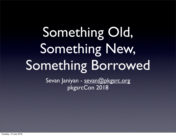# Something Old, Something New, Something Borrowed

Sevan Janiyan - [sevan@pkgsrc.org](mailto:sevan@pkgsrc.org) pkgsrcCon 2018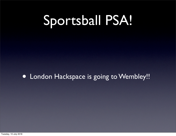#### Sportsball PSA!

• London Hackspace is going to Wembley!!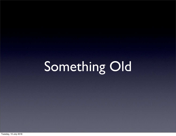## Something Old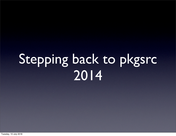#### Stepping back to pkgsrc 2014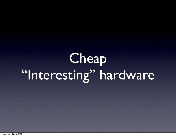### Cheap "Interesting" hardware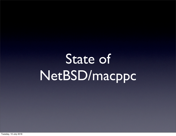#### State of NetBSD/macppc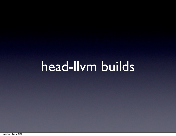#### head-llvm builds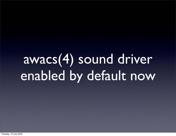#### awacs(4) sound driver enabled by default now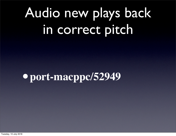## Audio new plays back in correct pitch

•**port-macppc/52949**

Tuesday, 10 July 2018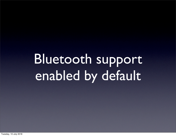#### Bluetooth support enabled by default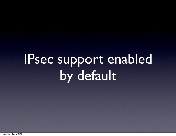## IPsec support enabled by default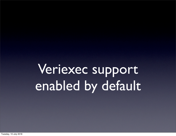Veriexec support enabled by default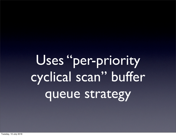# Uses "per-priority cyclical scan" buffer queue strategy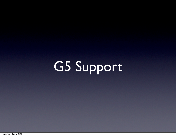G5 Support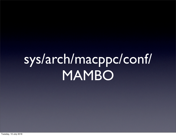#### sys/arch/macppc/conf/ MAMBO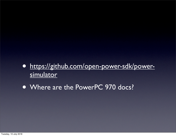• [https://github.com/open-power-sdk/power](https://github.com/open-power-sdk/power-simulator)[simulator](https://github.com/open-power-sdk/power-simulator)

• Where are the PowerPC 970 docs?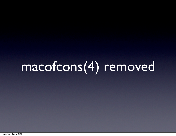## macofcons(4) removed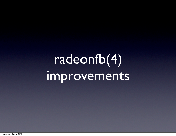## radeonfb(4) improvements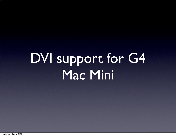#### DVI support for G4 Mac Mini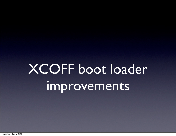## XCOFF boot loader improvements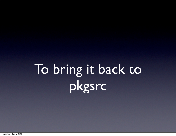# To bring it back to pkgsrc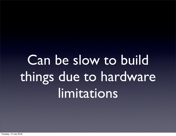## Can be slow to build things due to hardware limitations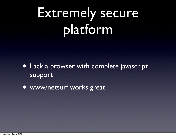## Extremely secure platform

- Lack a browser with complete javascript support
- www/netsurf works great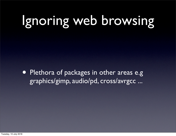# Ignoring web browsing

• Plethora of packages in other areas e.g graphics/gimp, audio/pd, cross/avrgcc ...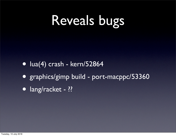#### Reveals bugs

- lua(4) crash kern/52864
- graphics/gimp build port-macppc/53360
- lang/racket ??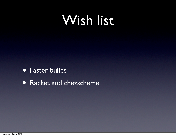#### Wish list

- Faster builds
- Racket and chezscheme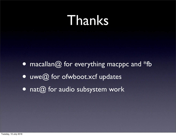#### Thanks

• macallan@ for everything macppc and  $*fb$ • uwe@ for ofwboot.xcf updates • nat@ for audio subsystem work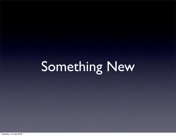## Something New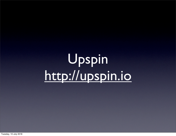## Upspin <http://upspin.io>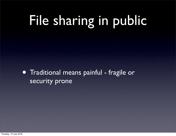## File sharing in public

• Traditional means painful - fragile or security prone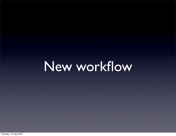#### New workflow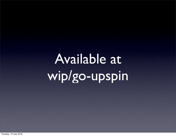## Available at wip/go-upspin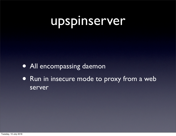#### upspinserver

- All encompassing daemon
- Run in insecure mode to proxy from a web server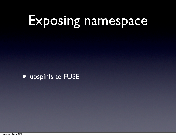#### Exposing namespace

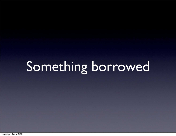# Something borrowed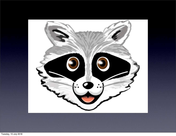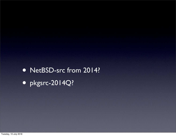• NetBSD-src from 2014? • pkgsrc-2014Q?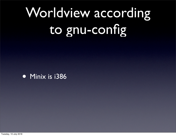# Worldview according to gnu-config